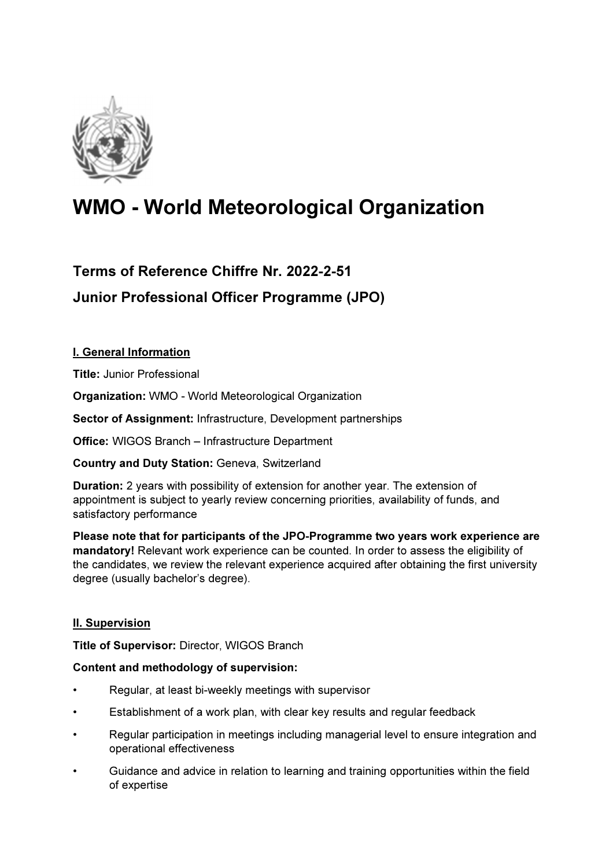

# WMO - World Meteorological Organization

# Terms of Reference Chiffre Nr. 2022-2-51 Junior Professional Officer Programme (JPO)

# I. General Information

Title: Junior Professional

Organization: WMO - World Meteorological Organization

Sector of Assignment: Infrastructure, Development partnerships

Office: WIGOS Branch – Infrastructure Department

Country and Duty Station: Geneva, Switzerland

Duration: 2 years with possibility of extension for another year. The extension of appointment is subject to yearly review concerning priorities, availability of funds, and satisfactory performance

Please note that for participants of the JPO-Programme two years work experience are mandatory! Relevant work experience can be counted. In order to assess the eligibility of the candidates, we review the relevant experience acquired after obtaining the first university degree (usually bachelor's degree).

## **II. Supervision**

Title of Supervisor: Director, WIGOS Branch

#### Content and methodology of supervision:

- Regular, at least bi-weekly meetings with supervisor
- Establishment of a work plan, with clear key results and regular feedback
- Regular participation in meetings including managerial level to ensure integration and operational effectiveness
- Guidance and advice in relation to learning and training opportunities within the field of expertise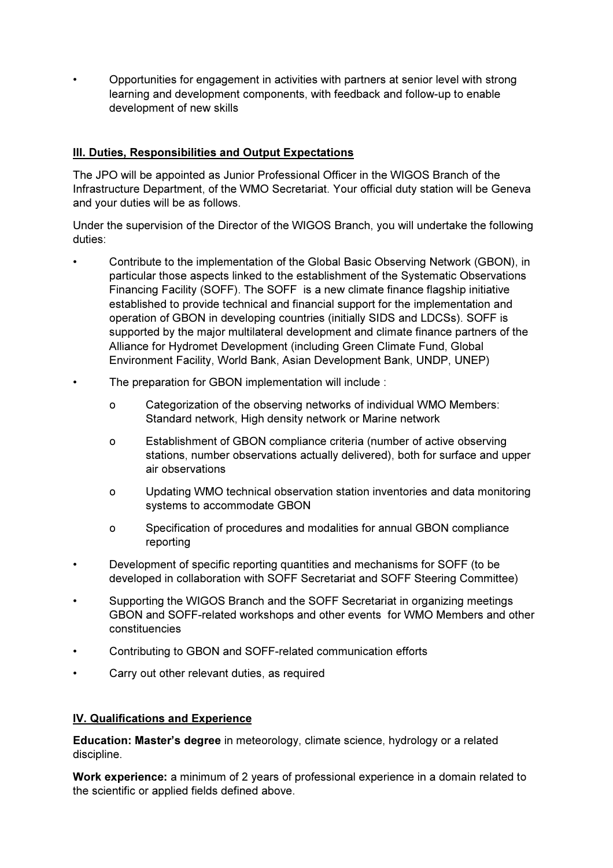• Opportunities for engagement in activities with partners at senior level with strong learning and development components, with feedback and follow-up to enable development of new skills

#### III. Duties, Responsibilities and Output Expectations

The JPO will be appointed as Junior Professional Officer in the WIGOS Branch of the Infrastructure Department, of the WMO Secretariat. Your official duty station will be Geneva and your duties will be as follows.

Under the supervision of the Director of the WIGOS Branch, you will undertake the following duties:

- Contribute to the implementation of the Global Basic Observing Network (GBON), in particular those aspects linked to the establishment of the Systematic Observations Financing Facility (SOFF). The SOFF is a new climate finance flagship initiative established to provide technical and financial support for the implementation and operation of GBON in developing countries (initially SIDS and LDCSs). SOFF is supported by the major multilateral development and climate finance partners of the Alliance for Hydromet Development (including Green Climate Fund, Global Environment Facility, World Bank, Asian Development Bank, UNDP, UNEP)
- The preparation for GBON implementation will include :
	- o Categorization of the observing networks of individual WMO Members: Standard network, High density network or Marine network
	- o Establishment of GBON compliance criteria (number of active observing stations, number observations actually delivered), both for surface and upper air observations
	- o Updating WMO technical observation station inventories and data monitoring systems to accommodate GBON
	- o Specification of procedures and modalities for annual GBON compliance reporting
- Development of specific reporting quantities and mechanisms for SOFF (to be developed in collaboration with SOFF Secretariat and SOFF Steering Committee)
- Supporting the WIGOS Branch and the SOFF Secretariat in organizing meetings GBON and SOFF-related workshops and other events for WMO Members and other constituencies
- Contributing to GBON and SOFF-related communication efforts
- Carry out other relevant duties, as required

#### IV. Qualifications and Experience

Education: Master's degree in meteorology, climate science, hydrology or a related discipline.

Work experience: a minimum of 2 years of professional experience in a domain related to the scientific or applied fields defined above.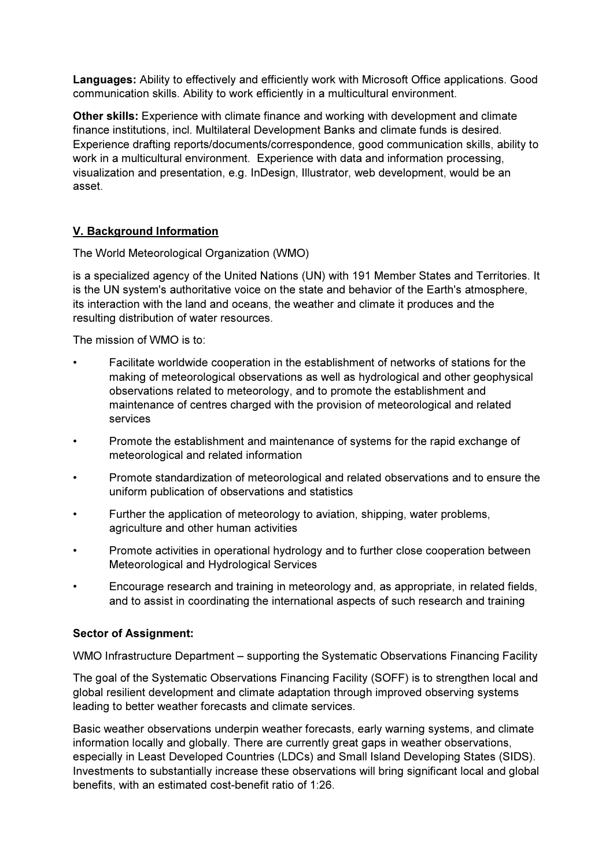Languages: Ability to effectively and efficiently work with Microsoft Office applications. Good communication skills. Ability to work efficiently in a multicultural environment.

Other skills: Experience with climate finance and working with development and climate finance institutions, incl. Multilateral Development Banks and climate funds is desired. Experience drafting reports/documents/correspondence, good communication skills, ability to work in a multicultural environment. Experience with data and information processing, visualization and presentation, e.g. InDesign, Illustrator, web development, would be an asset.

## V. Background Information

The World Meteorological Organization (WMO)

is a specialized agency of the United Nations (UN) with 191 Member States and Territories. It is the UN system's authoritative voice on the state and behavior of the Earth's atmosphere, its interaction with the land and oceans, the weather and climate it produces and the resulting distribution of water resources.

The mission of WMO is to:

- Facilitate worldwide cooperation in the establishment of networks of stations for the making of meteorological observations as well as hydrological and other geophysical observations related to meteorology, and to promote the establishment and maintenance of centres charged with the provision of meteorological and related services
- Promote the establishment and maintenance of systems for the rapid exchange of meteorological and related information
- Promote standardization of meteorological and related observations and to ensure the uniform publication of observations and statistics
- Further the application of meteorology to aviation, shipping, water problems, agriculture and other human activities
- Promote activities in operational hydrology and to further close cooperation between Meteorological and Hydrological Services
- Encourage research and training in meteorology and, as appropriate, in related fields, and to assist in coordinating the international aspects of such research and training

#### Sector of Assignment:

WMO Infrastructure Department – supporting the Systematic Observations Financing Facility

The goal of the Systematic Observations Financing Facility (SOFF) is to strengthen local and global resilient development and climate adaptation through improved observing systems leading to better weather forecasts and climate services.

Basic weather observations underpin weather forecasts, early warning systems, and climate information locally and globally. There are currently great gaps in weather observations, especially in Least Developed Countries (LDCs) and Small Island Developing States (SIDS). Investments to substantially increase these observations will bring significant local and global benefits, with an estimated cost-benefit ratio of 1:26.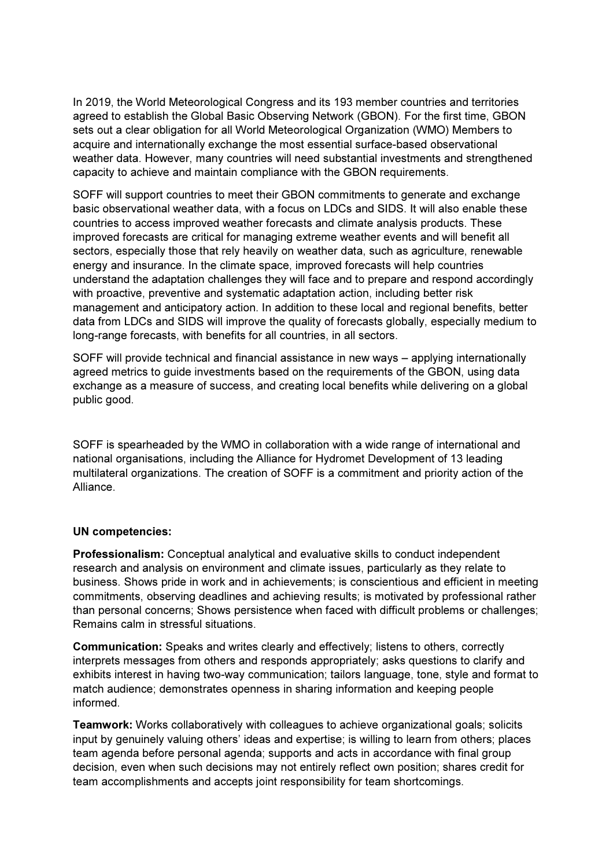In 2019, the World Meteorological Congress and its 193 member countries and territories agreed to establish the Global Basic Observing Network (GBON). For the first time, GBON sets out a clear obligation for all World Meteorological Organization (WMO) Members to acquire and internationally exchange the most essential surface-based observational weather data. However, many countries will need substantial investments and strengthened capacity to achieve and maintain compliance with the GBON requirements.

SOFF will support countries to meet their GBON commitments to generate and exchange basic observational weather data, with a focus on LDCs and SIDS. It will also enable these countries to access improved weather forecasts and climate analysis products. These improved forecasts are critical for managing extreme weather events and will benefit all sectors, especially those that rely heavily on weather data, such as agriculture, renewable energy and insurance. In the climate space, improved forecasts will help countries understand the adaptation challenges they will face and to prepare and respond accordingly with proactive, preventive and systematic adaptation action, including better risk management and anticipatory action. In addition to these local and regional benefits, better data from LDCs and SIDS will improve the quality of forecasts globally, especially medium to long-range forecasts, with benefits for all countries, in all sectors.

SOFF will provide technical and financial assistance in new ways – applying internationally agreed metrics to guide investments based on the requirements of the GBON, using data exchange as a measure of success, and creating local benefits while delivering on a global public good.

SOFF is spearheaded by the WMO in collaboration with a wide range of international and national organisations, including the Alliance for Hydromet Development of 13 leading multilateral organizations. The creation of SOFF is a commitment and priority action of the Alliance.

#### UN competencies:

Professionalism: Conceptual analytical and evaluative skills to conduct independent research and analysis on environment and climate issues, particularly as they relate to business. Shows pride in work and in achievements; is conscientious and efficient in meeting commitments, observing deadlines and achieving results; is motivated by professional rather than personal concerns; Shows persistence when faced with difficult problems or challenges; Remains calm in stressful situations.

Communication: Speaks and writes clearly and effectively; listens to others, correctly interprets messages from others and responds appropriately; asks questions to clarify and exhibits interest in having two-way communication; tailors language, tone, style and format to match audience; demonstrates openness in sharing information and keeping people informed.

Teamwork: Works collaboratively with colleagues to achieve organizational goals; solicits input by genuinely valuing others' ideas and expertise; is willing to learn from others; places team agenda before personal agenda; supports and acts in accordance with final group decision, even when such decisions may not entirely reflect own position; shares credit for team accomplishments and accepts joint responsibility for team shortcomings.